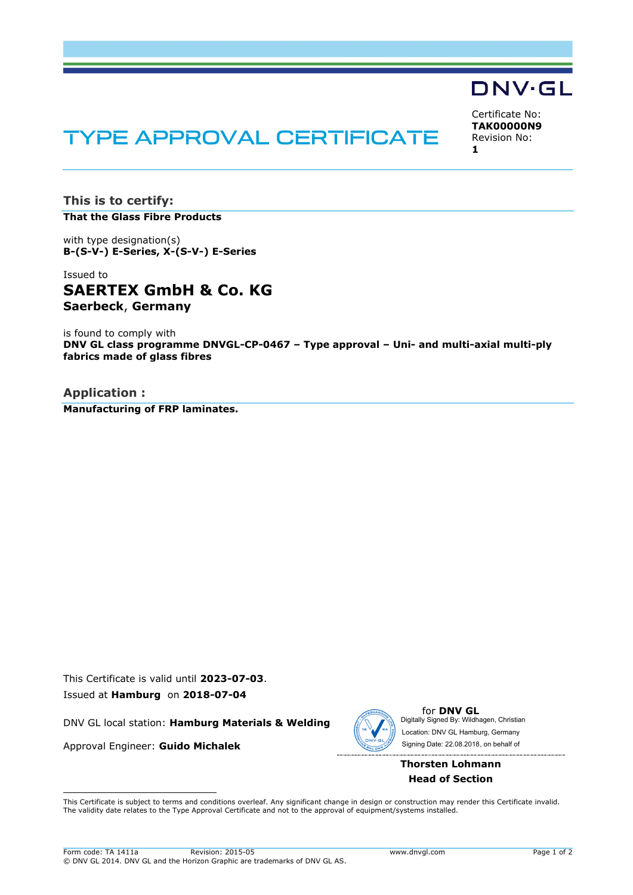# **TYPE APPROVAL CERTIFICATE**

Certificate No: **TAK00000N9** Revision No: **1**

DNV·GL

**This is to certify: That the Glass Fibre Products**

with type designation(s) **B-(S-V-) E-Series, X-(S-V-) E-Series**

Issued to **SAERTEX GmbH & Co. KG Saerbeck**, **Germany**

is found to comply with **DNV GL class programme DNVGL-CP-0467 – Type approval – Uni- and multi-axial multi-ply fabrics made of glass fibres**

**Application : Manufacturing of FRP laminates.**

This Certificate is valid until **2023-07-03**. Issued at **Hamburg** on **2018-07-04**

DNV GL local station: **Hamburg Materials & Welding**

Approval Engineer: **Guido Michalek**



for **DNV GL** Digitally Signed By: Wildhagen, Christian Signing Date: 22.08.2018 , on behalf ofLocation: DNV GL Hamburg, Germany

# **Thorsten Lohmann Head of Section**

 This Certificate is subject to terms and conditions overleaf. Any significant change in design or construction may render this Certificate invalid. The validity date relates to the Type Approval Certificate and not to the approval of equipment/systems installed.